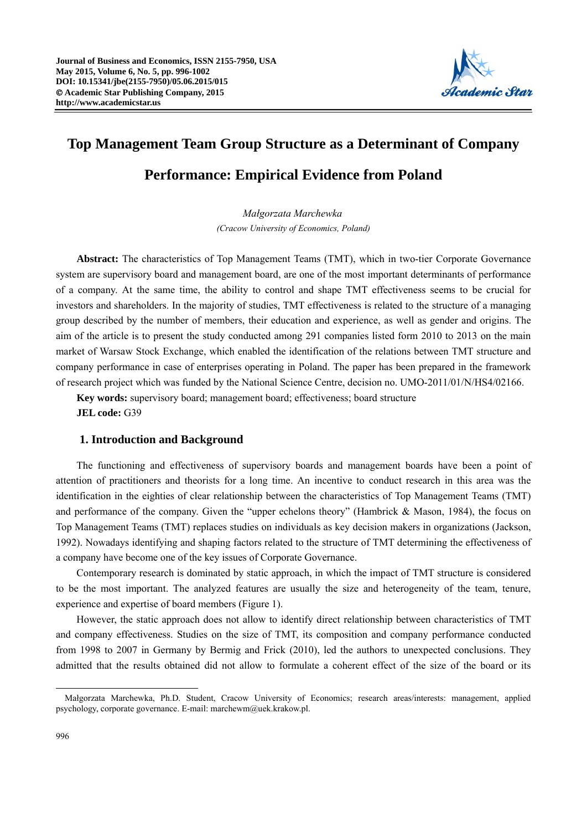

# **Top Management Team Group Structure as a Determinant of Company Performance: Empirical Evidence from Poland**

*Małgorzata Marchewka (Cracow University of Economics, Poland)* 

**Abstract:** The characteristics of Top Management Teams (TMT), which in two-tier Corporate Governance system are supervisory board and management board, are one of the most important determinants of performance of a company. At the same time, the ability to control and shape TMT effectiveness seems to be crucial for investors and shareholders. In the majority of studies, TMT effectiveness is related to the structure of a managing group described by the number of members, their education and experience, as well as gender and origins. The aim of the article is to present the study conducted among 291 companies listed form 2010 to 2013 on the main market of Warsaw Stock Exchange, which enabled the identification of the relations between TMT structure and company performance in case of enterprises operating in Poland. The paper has been prepared in the framework of research project which was funded by the National Science Centre, decision no. UMO-2011/01/N/HS4/02166.

**Key words:** supervisory board; management board; effectiveness; board structure **JEL code:** G39

## **1. Introduction and Background**

The functioning and effectiveness of supervisory boards and management boards have been a point of attention of practitioners and theorists for a long time. An incentive to conduct research in this area was the identification in the eighties of clear relationship between the characteristics of Top Management Teams (TMT) and performance of the company. Given the "upper echelons theory" (Hambrick & Mason, 1984), the focus on Top Management Teams (TMT) replaces studies on individuals as key decision makers in organizations (Jackson, 1992). Nowadays identifying and shaping factors related to the structure of TMT determining the effectiveness of a company have become one of the key issues of Corporate Governance.

Contemporary research is dominated by static approach, in which the impact of TMT structure is considered to be the most important. The analyzed features are usually the size and heterogeneity of the team, tenure, experience and expertise of board members (Figure 1).

However, the static approach does not allow to identify direct relationship between characteristics of TMT and company effectiveness. Studies on the size of TMT, its composition and company performance conducted from 1998 to 2007 in Germany by Bermig and Frick (2010), led the authors to unexpected conclusions. They admitted that the results obtained did not allow to formulate a coherent effect of the size of the board or its

 $\overline{a}$ Małgorzata Marchewka, Ph.D. Student, Cracow University of Economics; research areas/interests: management, applied psychology, corporate governance. E-mail: marchewm@uek.krakow.pl.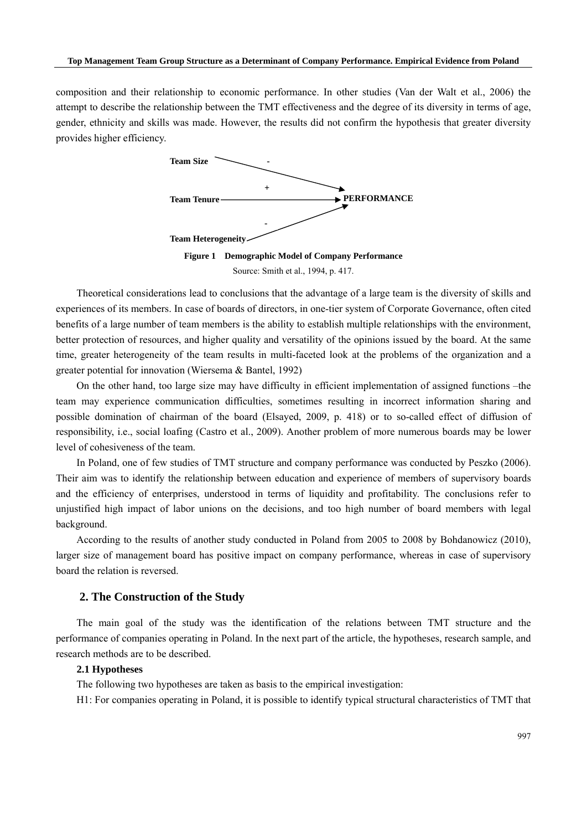composition and their relationship to economic performance. In other studies (Van der Walt et al., 2006) the attempt to describe the relationship between the TMT effectiveness and the degree of its diversity in terms of age, gender, ethnicity and skills was made. However, the results did not confirm the hypothesis that greater diversity provides higher efficiency.



Theoretical considerations lead to conclusions that the advantage of a large team is the diversity of skills and experiences of its members. In case of boards of directors, in one-tier system of Corporate Governance, often cited benefits of a large number of team members is the ability to establish multiple relationships with the environment, better protection of resources, and higher quality and versatility of the opinions issued by the board. At the same time, greater heterogeneity of the team results in multi-faceted look at the problems of the organization and a greater potential for innovation (Wiersema & Bantel, 1992)

On the other hand, too large size may have difficulty in efficient implementation of assigned functions –the team may experience communication difficulties, sometimes resulting in incorrect information sharing and possible domination of chairman of the board (Elsayed, 2009, p. 418) or to so-called effect of diffusion of responsibility, i.e., social loafing (Castro et al., 2009). Another problem of more numerous boards may be lower level of cohesiveness of the team.

In Poland, one of few studies of TMT structure and company performance was conducted by Peszko (2006). Their aim was to identify the relationship between education and experience of members of supervisory boards and the efficiency of enterprises, understood in terms of liquidity and profitability. The conclusions refer to unjustified high impact of labor unions on the decisions, and too high number of board members with legal background.

According to the results of another study conducted in Poland from 2005 to 2008 by Bohdanowicz (2010), larger size of management board has positive impact on company performance, whereas in case of supervisory board the relation is reversed.

## **2. The Construction of the Study**

The main goal of the study was the identification of the relations between TMT structure and the performance of companies operating in Poland. In the next part of the article, the hypotheses, research sample, and research methods are to be described.

## **2.1 Hypotheses**

The following two hypotheses are taken as basis to the empirical investigation:

H1: For companies operating in Poland, it is possible to identify typical structural characteristics of TMT that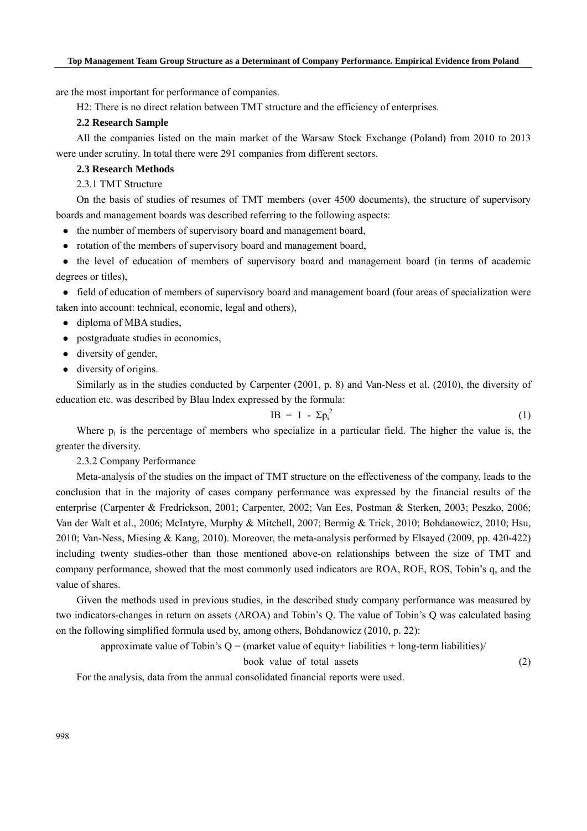are the most important for performance of companies.

H2: There is no direct relation between TMT structure and the efficiency of enterprises.

## **2.2 Research Sample**

All the companies listed on the main market of the Warsaw Stock Exchange (Poland) from 2010 to 2013 were under scrutiny. In total there were 291 companies from different sectors.

## **2.3 Research Methods**

2.3.1 TMT Structure

On the basis of studies of resumes of TMT members (over 4500 documents), the structure of supervisory boards and management boards was described referring to the following aspects:

- the number of members of supervisory board and management board,
- rotation of the members of supervisory board and management board,

• the level of education of members of supervisory board and management board (in terms of academic degrees or titles),

 field of education of members of supervisory board and management board (four areas of specialization were taken into account: technical, economic, legal and others),

- diploma of MBA studies,
- postgraduate studies in economics,
- diversity of gender,
- diversity of origins.

Similarly as in the studies conducted by Carpenter (2001, p. 8) and Van-Ness et al. (2010), the diversity of education etc. was described by Blau Index expressed by the formula:

$$
IB = 1 - \Sigma p_i^2 \tag{1}
$$

Where  $p_i$  is the percentage of members who specialize in a particular field. The higher the value is, the greater the diversity.

2.3.2 Company Performance

Meta-analysis of the studies on the impact of TMT structure on the effectiveness of the company, leads to the conclusion that in the majority of cases company performance was expressed by the financial results of the enterprise (Carpenter & Fredrickson, 2001; Carpenter, 2002; Van Ees, Postman & Sterken, 2003; Peszko, 2006; Van der Walt et al., 2006; McIntyre, Murphy & Mitchell, 2007; Bermig & Trick, 2010; Bohdanowicz, 2010; Hsu, 2010; Van-Ness, Miesing & Kang, 2010). Moreover, the meta-analysis performed by Elsayed (2009, pp. 420-422) including twenty studies-other than those mentioned above-on relationships between the size of TMT and company performance, showed that the most commonly used indicators are ROA, ROE, ROS, Tobin's q, and the value of shares.

Given the methods used in previous studies, in the described study company performance was measured by two indicators-changes in return on assets (ΔROA) and Tobin's Q. The value of Tobin's Q was calculated basing on the following simplified formula used by, among others, Bohdanowicz (2010, p. 22):

approximate value of Tobin's  $Q =$  (market value of equity+ liabilities + long-term liabilities)/

book value of total assets (2)

For the analysis, data from the annual consolidated financial reports were used.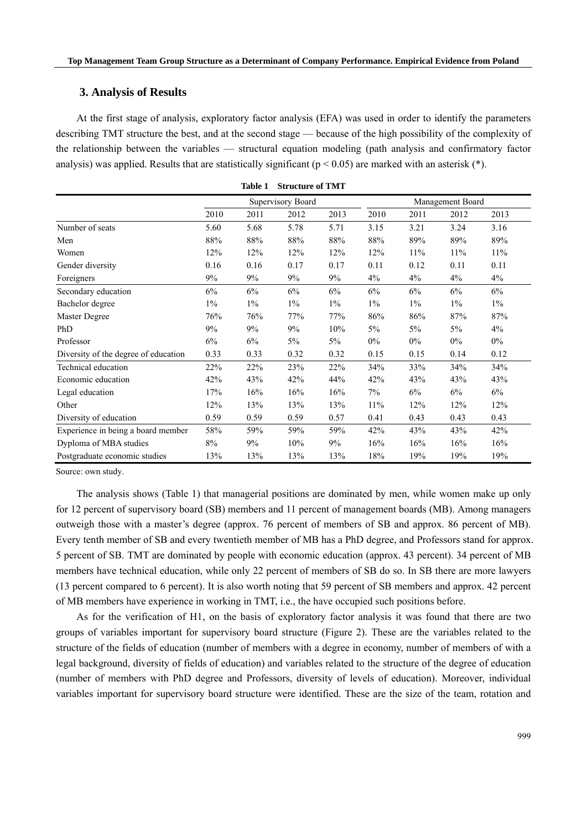## **3. Analysis of Results**

At the first stage of analysis, exploratory factor analysis (EFA) was used in order to identify the parameters describing TMT structure the best, and at the second stage — because of the high possibility of the complexity of the relationship between the variables — structural equation modeling (path analysis and confirmatory factor analysis) was applied. Results that are statistically significant ( $p < 0.05$ ) are marked with an asterisk (\*).

**Table 1 Structure of TMT** 

|                                      |                   | таріє т | Structure of TMT |       |                  |       |       |       |
|--------------------------------------|-------------------|---------|------------------|-------|------------------|-------|-------|-------|
|                                      | Supervisory Board |         |                  |       | Management Board |       |       |       |
|                                      | 2010              | 2011    | 2012             | 2013  | 2010             | 2011  | 2012  | 2013  |
| Number of seats                      | 5.60              | 5.68    | 5.78             | 5.71  | 3.15             | 3.21  | 3.24  | 3.16  |
| Men                                  | 88%               | 88%     | 88%              | 88%   | 88%              | 89%   | 89%   | 89%   |
| Women                                | 12%               | 12%     | 12%              | 12%   | 12%              | 11%   | 11%   | 11%   |
| Gender diversity                     | 0.16              | 0.16    | 0.17             | 0.17  | 0.11             | 0.12  | 0.11  | 0.11  |
| Foreigners                           | 9%                | 9%      | 9%               | 9%    | 4%               | 4%    | 4%    | 4%    |
| Secondary education                  | 6%                | 6%      | 6%               | 6%    | 6%               | 6%    | 6%    | 6%    |
| Bachelor degree                      | $1\%$             | $1\%$   | $1\%$            | $1\%$ | $1\%$            | $1\%$ | $1\%$ | $1\%$ |
| Master Degree                        | 76%               | 76%     | 77%              | 77%   | 86%              | 86%   | 87%   | 87%   |
| PhD                                  | 9%                | 9%      | 9%               | 10%   | 5%               | $5\%$ | 5%    | 4%    |
| Professor                            | 6%                | 6%      | 5%               | 5%    | $0\%$            | $0\%$ | $0\%$ | $0\%$ |
| Diversity of the degree of education | 0.33              | 0.33    | 0.32             | 0.32  | 0.15             | 0.15  | 0.14  | 0.12  |
| Technical education                  | 22%               | 22%     | 23%              | 22%   | 34%              | 33%   | 34%   | 34%   |
| Economic education                   | 42%               | 43%     | 42%              | 44%   | 42%              | 43%   | 43%   | 43%   |
| Legal education                      | 17%               | 16%     | 16%              | 16%   | 7%               | 6%    | 6%    | 6%    |
| Other                                | 12%               | 13%     | 13%              | 13%   | 11%              | 12%   | 12%   | 12%   |
| Diversity of education               | 0.59              | 0.59    | 0.59             | 0.57  | 0.41             | 0.43  | 0.43  | 0.43  |
| Experience in being a board member   | 58%               | 59%     | 59%              | 59%   | 42%              | 43%   | 43%   | 42%   |
| Dyploma of MBA studies               | $8\%$             | 9%      | 10%              | 9%    | 16%              | 16%   | 16%   | 16%   |
| Postgraduate economic studies        | 13%               | 13%     | 13%              | 13%   | 18%              | 19%   | 19%   | 19%   |

Source: own study.

The analysis shows (Table 1) that managerial positions are dominated by men, while women make up only for 12 percent of supervisory board (SB) members and 11 percent of management boards (MB). Among managers outweigh those with a master's degree (approx. 76 percent of members of SB and approx. 86 percent of MB). Every tenth member of SB and every twentieth member of MB has a PhD degree, and Professors stand for approx. 5 percent of SB. TMT are dominated by people with economic education (approx. 43 percent). 34 percent of MB members have technical education, while only 22 percent of members of SB do so. In SB there are more lawyers (13 percent compared to 6 percent). It is also worth noting that 59 percent of SB members and approx. 42 percent of MB members have experience in working in TMT, i.e., the have occupied such positions before.

As for the verification of H1, on the basis of exploratory factor analysis it was found that there are two groups of variables important for supervisory board structure (Figure 2). These are the variables related to the structure of the fields of education (number of members with a degree in economy, number of members of with a legal background, diversity of fields of education) and variables related to the structure of the degree of education (number of members with PhD degree and Professors, diversity of levels of education). Moreover, individual variables important for supervisory board structure were identified. These are the size of the team, rotation and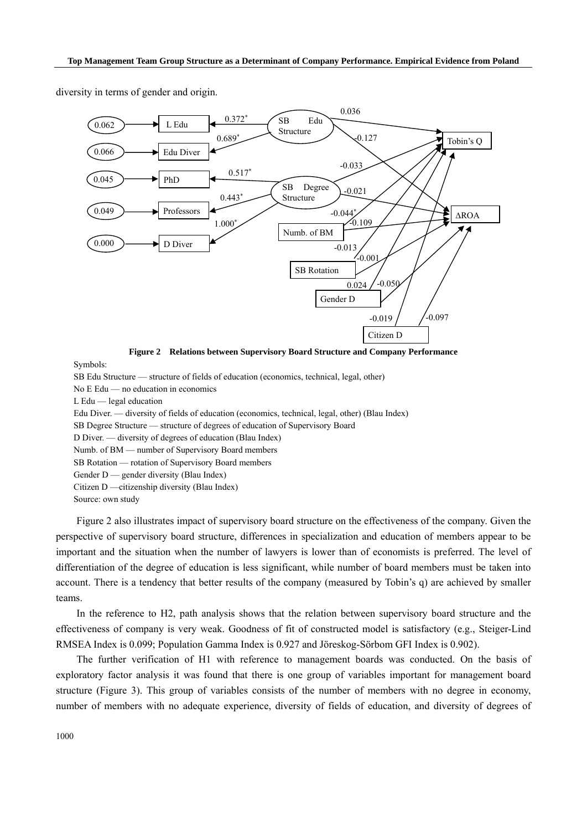diversity in terms of gender and origin.



Symbols:

SB Edu Structure — structure of fields of education (economics, technical, legal, other) No E Edu — no education in economics L Edu — legal education Edu Diver. — diversity of fields of education (economics, technical, legal, other) (Blau Index) SB Degree Structure — structure of degrees of education of Supervisory Board D Diver. — diversity of degrees of education (Blau Index) Numb. of BM — number of Supervisory Board members SB Rotation — rotation of Supervisory Board members Gender D — gender diversity (Blau Index) Citizen D —citizenship diversity (Blau Index) Source: own study

Figure 2 also illustrates impact of supervisory board structure on the effectiveness of the company. Given the perspective of supervisory board structure, differences in specialization and education of members appear to be important and the situation when the number of lawyers is lower than of economists is preferred. The level of differentiation of the degree of education is less significant, while number of board members must be taken into account. There is a tendency that better results of the company (measured by Tobin's q) are achieved by smaller teams.

In the reference to H2, path analysis shows that the relation between supervisory board structure and the effectiveness of company is very weak. Goodness of fit of constructed model is satisfactory (e.g., Steiger-Lind RMSEA Index is 0.099; Population Gamma Index is 0.927 and Jöreskog-Sörbom GFI Index is 0.902).

The further verification of H1 with reference to management boards was conducted. On the basis of exploratory factor analysis it was found that there is one group of variables important for management board structure (Figure 3). This group of variables consists of the number of members with no degree in economy, number of members with no adequate experience, diversity of fields of education, and diversity of degrees of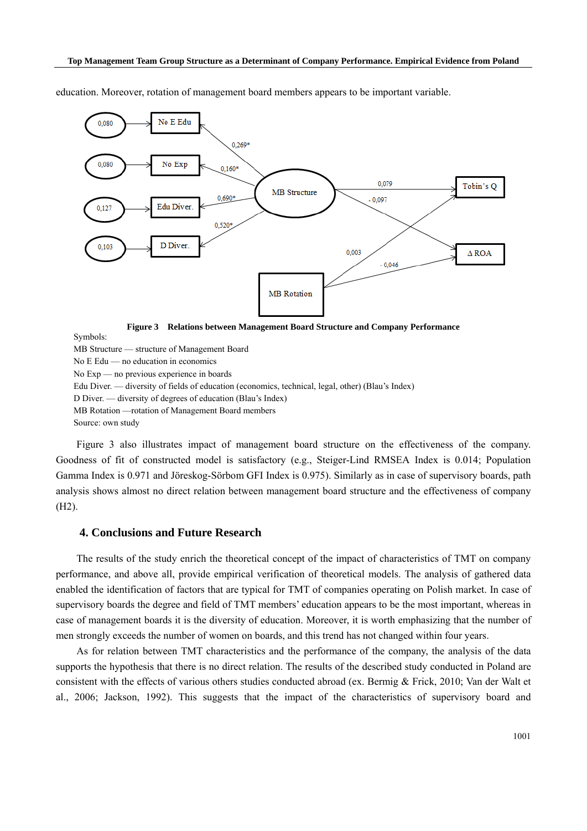

education. Moreover, rotation of management board members appears to be important variable.

**Figure 3 Relations between Management Board Structure and Company Performance** 

Symbols:

MB Structure — structure of Management Board No E Edu — no education in economics No Exp — no previous experience in boards Edu Diver. — diversity of fields of education (economics, technical, legal, other) (Blau's Index) D Diver. — diversity of degrees of education (Blau's Index) MB Rotation —rotation of Management Board members Source: own study

Figure 3 also illustrates impact of management board structure on the effectiveness of the company. Goodness of fit of constructed model is satisfactory (e.g., Steiger-Lind RMSEA Index is 0.014; Population Gamma Index is 0.971 and Jöreskog-Sörbom GFI Index is 0.975). Similarly as in case of supervisory boards, path analysis shows almost no direct relation between management board structure and the effectiveness of company (H2).

## **4. Conclusions and Future Research**

The results of the study enrich the theoretical concept of the impact of characteristics of TMT on company performance, and above all, provide empirical verification of theoretical models. The analysis of gathered data enabled the identification of factors that are typical for TMT of companies operating on Polish market. In case of supervisory boards the degree and field of TMT members' education appears to be the most important, whereas in case of management boards it is the diversity of education. Moreover, it is worth emphasizing that the number of men strongly exceeds the number of women on boards, and this trend has not changed within four years.

As for relation between TMT characteristics and the performance of the company, the analysis of the data supports the hypothesis that there is no direct relation. The results of the described study conducted in Poland are consistent with the effects of various others studies conducted abroad (ex. Bermig & Frick, 2010; Van der Walt et al., 2006; Jackson, 1992). This suggests that the impact of the characteristics of supervisory board and